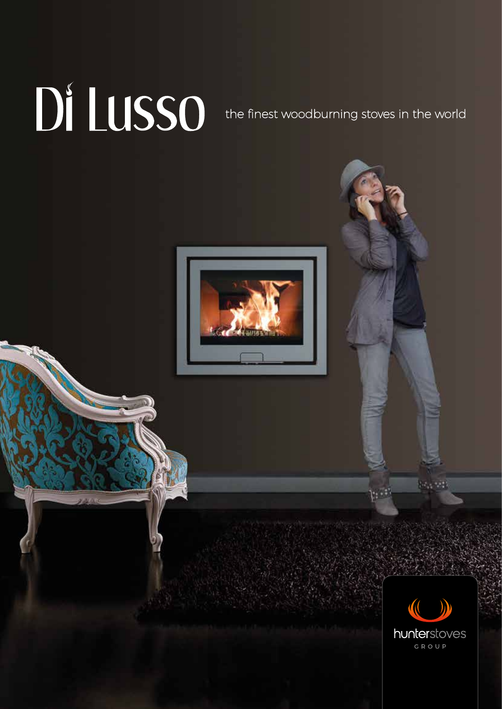## DI LUSSO the finest woodburning stoves in the world





 $\{x_{i},y_{i}\}$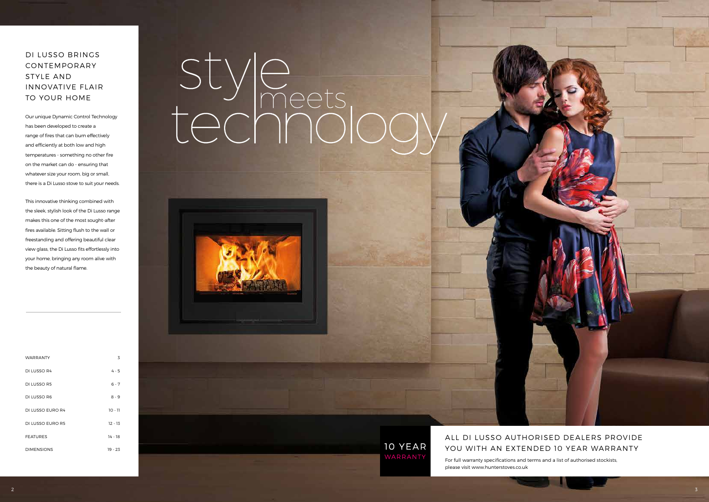### DI LUSSO BRINGS CONTEMPORARY STYLE AND INNOVATIVE FLAIR TO YOUR HOME

Our unique Dynamic Control Technology has been developed to create a range of fires that can burn effectively and efficiently at both low and high temperatures - something no other fire on the market can do - ensuring that whatever size your room, big or small, there is a Di Lusso stove to suit your needs.

### ALL DI LUSSO AUTHORISED DEALERS PROVIDE YOU WITH AN EXTENDED 10 YEAR WARRANTY

| <b>WARRANTY</b>   | 3         |
|-------------------|-----------|
| DI LUSSO R4       | $4 - 5$   |
| DI LUSSO R5       | $6 - 7$   |
| DI LUSSO R6       | $8 - 9$   |
| DI LUSSO EURO R4  | $10 - 11$ |
| DI LUSSO EURO R5  | $12 - 13$ |
| <b>FEATURES</b>   | $14 - 18$ |
| <b>DIMENSIONS</b> | $19 - 23$ |

# style

### **10 YEAR**

This innovative thinking combined with the sleek, stylish look of the Di Lusso range makes this one of the most sought-after fires available. Sitting flush to the wall or freestanding and offering beautiful clear view glass, the Di Lusso fits effortlessly into your home, bringing any room alive with the beauty of natural flame.

> For full warranty specifications and terms and a list of authorised stockists, please visit www.hunterstoves.co.uk

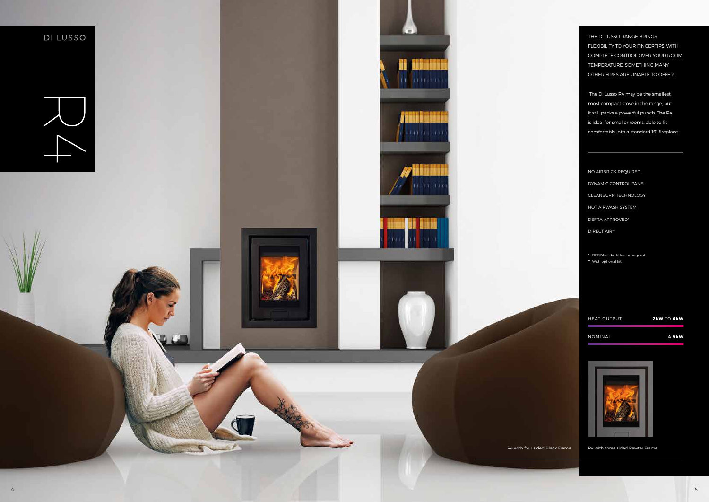THE DI LUSSO RANGE BRINGS FLEXIBILITY TO YOUR FINGERTIPS, WITH COMPLETE CONTROL OVER YOUR ROOM TEMPERATURE, SOMETHING MANY OTHER FIRES ARE UNABLE TO OFFER.

 The Di Lusso R4 may be the smallest, most compact stove in the range, but it still packs a powerful punch. The R4 is ideal for smaller rooms, able to fit comfortably into a standard 16" fireplace.

NO AIRBRICK REQUIRED DYNAMIC CONTROL PANEL CLEANBURN TECHNOLOGY HOT AIRWASH SYSTEM DEFRA APPROVED\* DIRECT AIR\*\*

\* DEFRA air kit fitted on request \*\* With optional kit

HEAT OUTPUT **2kW** TO **6kW** NOMINAL **4.9kW**



R4 with four sided Black Frame R4 with three sided Pewter Frame

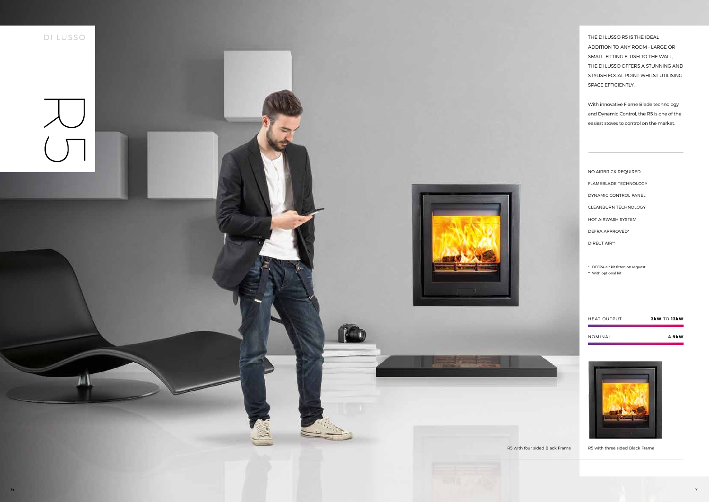THE DI LUSSO R5 IS THE IDEAL ADDITION TO ANY ROOM - LARGE OR SMALL. FITTING FLUSH TO THE WALL, THE DI LUSSO OFFERS A STUNNING AND STYLISH FOCAL POINT WHILST UTILISING SPACE EFFICIENTLY.

With innovative Flame Blade technology and Dynamic Control, the R5 is one of the easiest stoves to control on the market.

NO AIRBRICK REQUIRED FLAMEBLADE TECHNOLOGY DYNAMIC CONTROL PANEL CLEANBURN TECHNOLOGY HOT AIRWASH SYSTEM DEFRA APPROVED\* DIRECT AIR\*\*

\* DEFRA air kit fitted on request

\*\* With optional kit

HEAT OUTPUT **3kW** TO **13kW**

NOMINAL **4.9kW**



R5 with four sided Black Frame R5 with three sided Black Frame



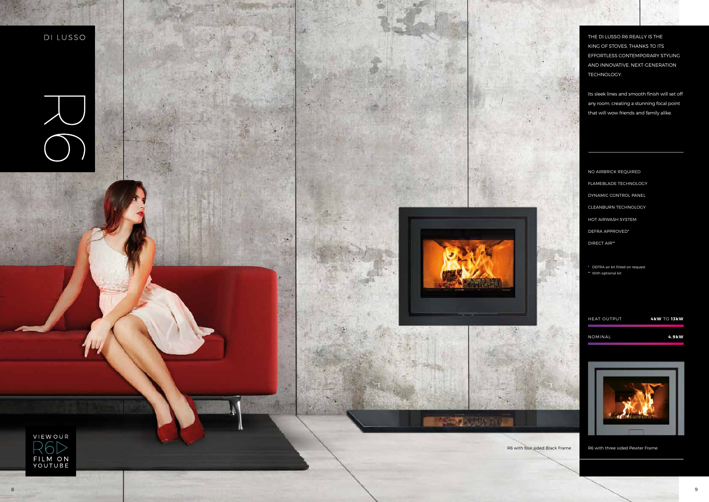THE DI LUSSO R6 REALLY IS THE KING OF STOVES, THANKS TO ITS EFFORTLESS CONTEMPORARY STYLING AND INNOVATIVE, NEXT-GENERATION TECHNOLOGY.

Its sleek lines and smooth finish will set off any room, creating a stunning focal point that will wow friends and family alike.

NO AIRBRICK REQUIRED FLAMEBLADE TECHNOLOGY DYNAMIC CONTROL PANEL CLEANBURN TECHNOLOGY HOT AIRWASH SYSTEM DEFRA APPROVED\* DIRECT AIR\*\*

\* DEFRA air kit fitted on request \*\* With optional kit

HEAT OUTPUT **4kW** TO **13kW**

NOMINAL **4.9kW**



R6 with four sided Black Frame R6 with three sided Pewter Frame

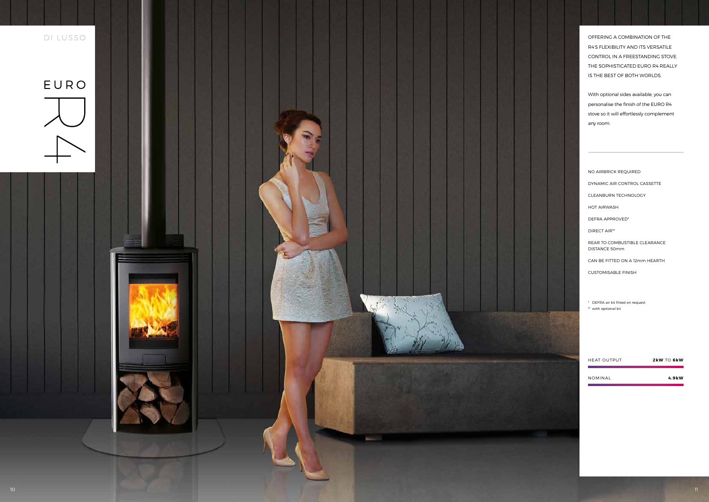OFFERING A COMBINATION OF THE R4'S FLEXIBILITY AND ITS VERSATILE CONTROL IN A FREESTANDING STOVE. THE SOPHISTICATED EURO R4 REALLY IS THE BEST OF BOTH WORLDS.

With optional sides available, you can personalise the finish of the EURO R4 stove so it will effortlessly complement any room.

NO AIRBRICK REQUIRED DYNAMIC AIR CONTROL CASSETTE CLEANBURN TECHNOLOGY HOT AIRWASH DEFRA APPROVED\* DIRECT AIR\*\* REAR TO COMBUSTIBLE CLEARANCE DISTANCE 50mm CAN BE FITTED ON A 12mm HEARTH CUSTOMISABLE FINISH

\* DEFRA air kit fitted on request \*\* with optional kit

| <b>HEAT OUTPUT</b> | $2$ kW TO 6kW |
|--------------------|---------------|
| NOMINAL            | 4.9kW         |

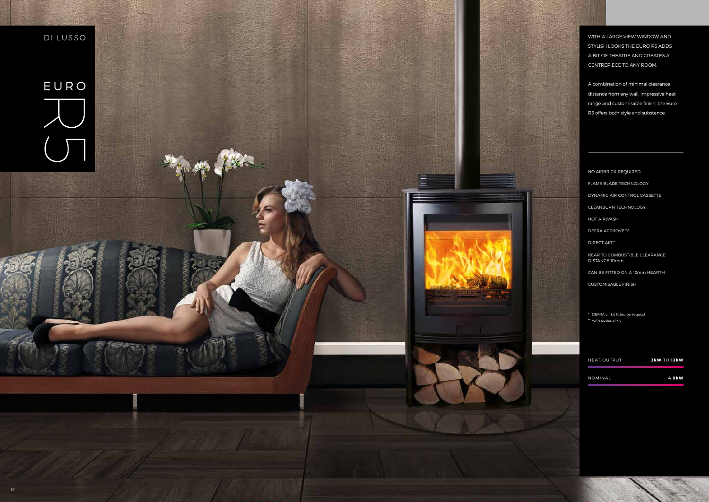WITH A LARGE VIEW WINDOW AND STYLISH LOOKS THE EURO R5 ADDS A BIT OF THEATRE AND CREATES A CENTREPIECE TO ANY ROOM.

A combination of minimal clearance distance from any wall, impressive heat range and customisable finish, the Euro R5 offers both style and substance.

NO AIRBRICK REQUIRED FLAME BLADE TECHNOLOGY DYNAMIC AIR CONTROL CASSETTE CLEANBURN TECHNOLOGY HOT AIRWASH DEFRA APPROVED\* DIRECT AIR\*\* REAR TO COMBUSTIBLE CLEARANCE DISTANCE 10mm CAN BE FITTED ON A 12mm HEARTH CUSTOMISABLE FINISH

\* DEFRA air kit fitted on request \*\* with optional kit

| <b>HEAT OUTPUT</b> | <b>3kW TO 13kW</b> |
|--------------------|--------------------|
| NOMINAL            | 4.9kW              |

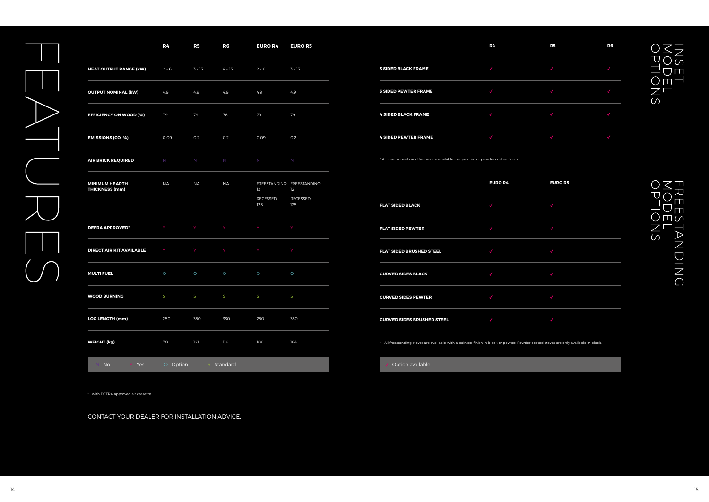|                                                | R <sub>4</sub> | R5        | R <sub>6</sub> | <b>EURO R4</b>   | <b>EURO R5</b>                    |
|------------------------------------------------|----------------|-----------|----------------|------------------|-----------------------------------|
| <b>HEAT OUTPUT RANGE (kW)</b>                  | $2 - 6$        | $3 - 13$  | $4 - 13$       | $2 - 6$          | 3 - 13                            |
| <b>OUTPUT NOMINAL (kW)</b>                     | 4.9            | 4.9       | 4.9            | 4.9              | 4.9                               |
| <b>EFFICIENCY ON WOOD (%)</b>                  | 79             | 79        | 76             | 79               | 79                                |
| <b>EMISSIONS (CO. %)</b>                       | 0.09           | 0.2       | O.2            | 0.09             | 0.2                               |
| <b>AIR BRICK REQUIRED</b>                      | N              | N         | N <sub>1</sub> | N                | $\mathbb N$                       |
| <b>MINIMUM HEARTH</b><br><b>THICKNESS (mm)</b> | <b>NA</b>      | <b>NA</b> | <b>NA</b>      | 12               | FREESTANDING: FREESTANDING:<br>12 |
|                                                |                |           |                | RECESSED:<br>125 | RECESSED:<br>125                  |
| <b>DEFRA APPROVED*</b>                         | Y              | Y         | Y.             | Y                | Y                                 |
| DIRECT AIR KIT AVAILABLE                       | Y              | Y         | Y              | Y                | Y                                 |
| <b>MULTI FUEL</b>                              | $\circ$        | $\circ$   | $\circ$        | $\circ$          | $\circ$                           |
| <b>WOOD BURNING</b>                            | S              | S         | S              | S                | S                                 |
| <b>LOG LENGTH (mm)</b>                         | 250            | 350       | 330            | 250              | 350                               |
| <b>WEIGHT (kg)</b>                             | 70             | 121       | 116            | 106              | 184                               |
| No<br>Yes<br>Y.                                | O Option       |           | S Standard     |                  |                                   |

\* with DEFRA approved air cassette

CONTACT YOUR DEALER FOR INSTALLATION ADVICE.



# INSET<br>MODEL<br>OPTIONS

# **EURO R5**

## FREESTAN<br>MODEL<br>OPTIONS TANDING

|                             | R4 | R5 | R6 |
|-----------------------------|----|----|----|
| <b>3 SIDED BLACK FRAME</b>  |    |    |    |
| <b>3 SIDED PEWTER FRAME</b> |    |    |    |
| <b>4 SIDED BLACK FRAME</b>  |    |    |    |
| <b>4 SIDED PEWTER FRAME</b> |    |    |    |

\* All inset models and frames are available in a painted or powder coated finish.

|                                   | $-$ |
|-----------------------------------|-----|
| <b>FLAT SIDED BLACK</b>           | J   |
| <b>FLAT SIDED PEWTER</b>          | J   |
| <b>FLAT SIDED BRUSHED STEEL</b>   | √   |
| <b>CURVED SIDES BLACK</b>         |     |
| <b>CURVED SIDES PEWTER</b>        |     |
| <b>CURVED SIDES BRUSHED STEEL</b> |     |

\* All freestanding stoves are available with a painted finish in black or pewter. Powder coated stoves are only available in black.

Option available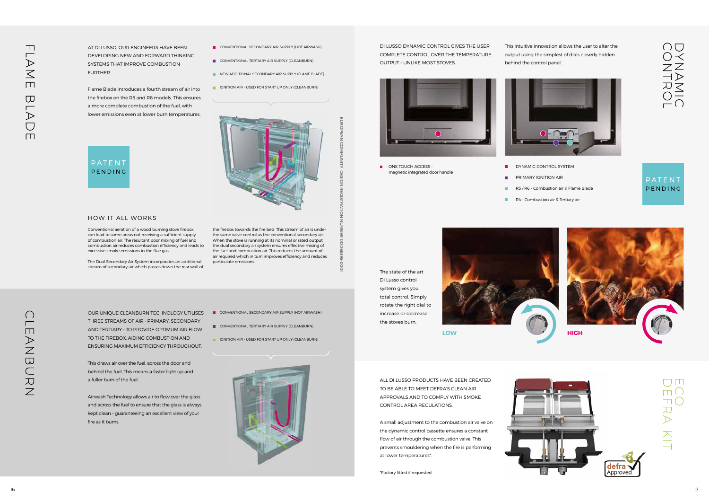DI LUSSO DYNAMIC CONTROL GIVES THE USER COMPLETE CONTROL OVER THE TEMPERATURE OUTPUT - UNLIKE MOST STOVES.

This intuitive innovation allows the user to alter the output using the simplest of dials cleverly hidden behind the control panel.



ALL DI LUSSO PRODUCTS HAVE BEEN CREATED TO BE ABLE TO MEET DEFRA'S CLEAN AIR APPROVALS AND TO COMPLY WITH SMOKE CONTROL AREA REGULATIONS.

ONE TOUCH ACCESS magnetic integrated door handle  $\blacksquare$  $\mathbf{r}$  $\mathcal{L}_{\mathcal{A}}$ 

 $\mathbf{m}$ 

A small adjustment to the combustion air valve on the dynamic control cassette ensures a constant flow of air through the combustion valve. This prevents smouldering when the fire is performing at lower temperatures\*.

\*Factory fitted if requested.

DYNAMIC CONTROL SYSTEM PRIMARY IGNITION AIR R5 / R6 - Combustion air & Flame Blade R4 - Combustion air & Tertiary air

DANAMICO

### PATENT PENDING

AT DI LUSSO, OUR ENGINEERS HAVE BEEN DEVELOPING NEW AND FORWARD THINKING SYSTEMS THAT IMPROVE COMBUSTION **FURTHER** 

> The state of the art Di Lusso control system gives you total control. Simply rotate the right dial to increase or decrease the stoves burn.







TT (  $\geq$ 

OUR UNIQUE CLEANBURN TECHNOLOGY UTILISES THREE STREAMS OF AIR - PRIMARY, SECONDARY AND TERTIARY - TO PROVIDE OPTIMUM AIR FLOW TO THE FIREBOX, AIDING COMBUSTION AND ENSURING MAXIMUM EFFICIENCY THROUGHOUT.

This draws air over the fuel, across the door and behind the fuel. This means a faster light up and a fuller burn of the fuel.

Airwash Technology allows air to flow over the glass and across the fuel to ensure that the glass is always kept clean – guaranteeing an excellent view of your fire as it burns.

- CONVENTIONAL SECONDARY AIR SUPPLY (HOT AIRWASH)
- CONVENTIONAL TERTIARY AIR SUPPLY (CLEANBURN)
- **IGNITION AIR USED FOR START UP ONLY (CLEANBURN)**



EUROPEAN COMMUNITY DESIGN REGISTRATION NUMBER 001268395-0001

핅

ĕ

**REC** 

**ROPEAN** 

 $\overline{SO}$ 

NTINU

DES

 $\overline{9}$ 

Flame Blade introduces a fourth stream of air into the firebox on the R5 and R6 models. This ensures a more complete combustion of the fuel, with lower emissions even at lower burn temperatures.

- CONVENTIONAL SECONDARY AIR SUPPLY (HOT AIRWASH)
- CONVENTIONAL TERTIARY AIR SUPPLY (CLEANBURN)
- **NEW ADDITIONAL SECONDARY AIR SUPPLY (FLAME BLADE)**
- **IGNITION AIR USED FOR START UP ONLY (CLEANBURN)**





### HOW IT ALL WORKS

Conventional aeration of a wood burning stove firebox can lead to some areas not receiving a sufficient supply of combustion air. The resultant poor mixing of fuel and combustion air reduces combustion efficiency and leads to excessive smoke emissions in the flue gas.

The Dual Secondary Air System incorporates an additional stream of secondary air which passes down the rear wall of the firebox towards the fire bed. This stream of air is under the same valve control as the conventional secondary air. When the stove is running at its nominal or rated output the dual secondary air system ensures effective mixing of the fuel and combustion air. This reduces the amount of air required which in turn improves efficiency and reduces particulate emissions.

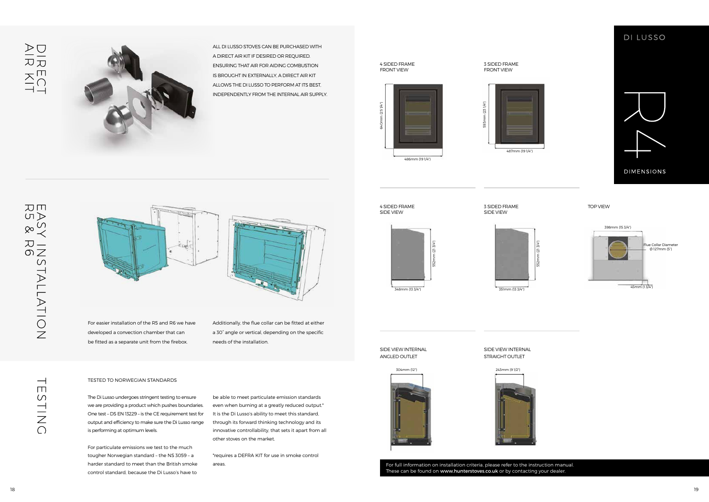### TESTED TO NORWEGIAN STANDARDS

The Di Lusso undergoes stringent testing to ensure we are providing a product which pushes boundaries. One test – DS EN 13229 – is the CE requirement test for output and efficiency to make sure the Di Lusso range is performing at optimum levels.

For particulate emissions we test to the much tougher Norwegian standard – the NS 3059 – a harder standard to meet than the British smoke control standard, because the Di Lusso's have to

be able to meet particulate emission standards even when burning at a greatly reduced output.\* It is the Di Lusso's ability to meet this standard, through its forward thinking technology and its innovative controllability, that sets it apart from all other stoves on the market.

> For full information on installation criteria, please refer to the instruction manual. These can be found on www.hunterstoves.co.uk or by contacting your dealer.

\*requires a DEFRA KIT for use in smoke control areas.



ALL DI LUSSO STOVES CAN BE PURCHASED WITH A DIRECT AIR KIT IF DESIRED OR REQUIRED. ENSURING THAT AIR FOR AIDING COMBUSTION IS BROUGHT IN EXTERNALLY, A DIRECT AIR KIT ALLOWS THE DI LUSSO TO PERFORM AT ITS BEST, INDEPENDENTLY FROM THE INTERNAL AIR SUPPLY.

For easier installation of the R5 and R6 we have developed a convection chamber that can be fitted as a separate unit from the firebox.

Additionally, the flue collar can be fitted at either a 30° angle or vertical, depending on the specific needs of the installation.



3 SIDED FRAME FRONT VIEW

SIDE VIEW INTERNAL ANGLED OUTLET

### SIDE VIEW INTERNAL STRAIGHT OUTLET

4 SIDED FRAME SIDE VIEW

3 SIDED FRAME SIDE VIEW

TOP VIEW



DI LUSSO



486mm (19 1/4")



 $\overline{\phantom{0}}$  $\Box$ 

CHINC



640mm (25 1/4")

m (25 1/4")











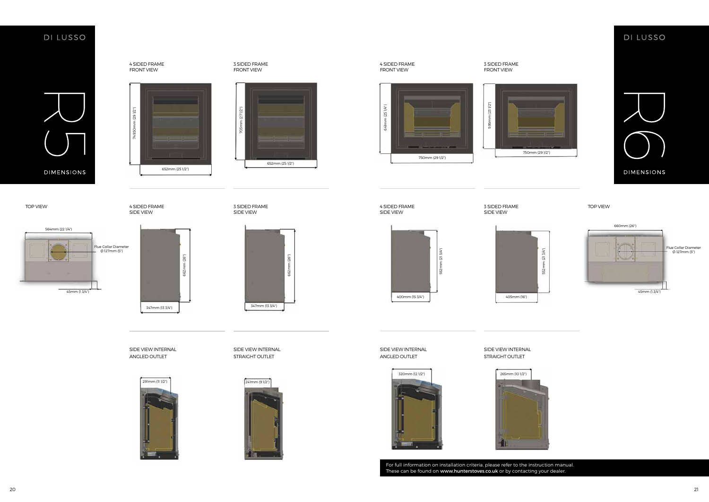SIDE VIEW INTERNAL ANGLED OUTLET

SIDE VIEW INTERNAL STRAIGHT OUTLET



### DI LUSSO



SIDE VIEW INTERNAL ANGLED OUTLET

 $(291/2")$ 749.50mm (29 1/2") 749.50mm 652mm (25 1/2")

### SIDE VIEW INTERNAL STRAIGHT OUTLET

347mm (13 3/4")



For full information on installation criteria, please refer to the instruction manual. These can be found on www.hunterstoves.co.uk or by contacting your dealer.









405mm (16")









### DI LUSSO

TOP VIEW TOP SUBDOORT A SUBDED FRAME TOP OF THE SUBDOOR ASSESSED FRAME TOP OF THE SUBDOOR A SUBDOORT AND TOP VIEW TOP VIEW TOP VIEW TOP VIEW TOP VIEW 3 SIDED FRAME SIDE VIEW

662mm (26")

26")







4 SIDED FRAME FRONT VIEW

4 SIDED FRAME FRONT VIEW

3 SIDED FRAME FRONT VIEW

3 SIDED FRAME

4 SIDED FRAME SIDE VIEW

4 SIDED FRAME SIDE VIEW

Flue Collar Diameter<br>- Ø 127mm (5")

3 SIDED FRAME SIDE VIEW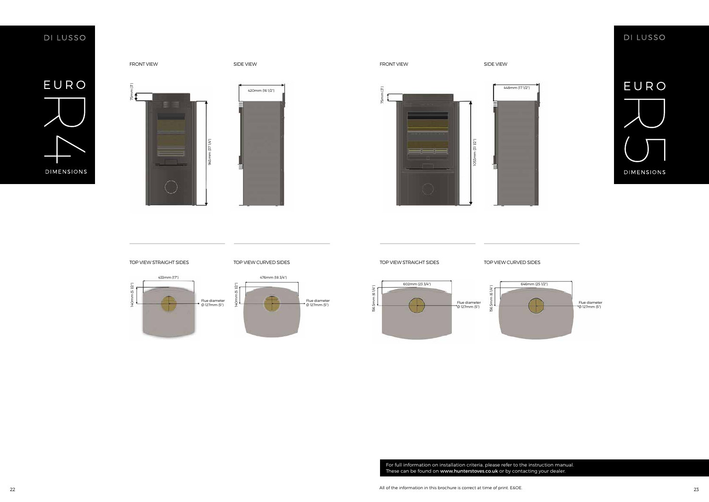### DI LUSSO



 $75mm$   $(3")$ 

FRONT VIEW SIDE VIEW FRONT VIEW SIDE VIEW

For full information on installation criteria, please refer to the instruction manual. These can be found on www.hunterstoves.co.uk or by contacting your dealer.





### DI LUSSO



 $75mm (3)$  $m(31/2")$ 1053mm (31 1/2")







75mm (3")

75mm (3")



TOP VIEW STRAIGHT SIDES TOP VIEW CURVED SIDES TOP VIEW STRAIGHT SIDES TOP VIEW STRAIGHT SIDES

156.5mm (6 1/4")

156.5mm